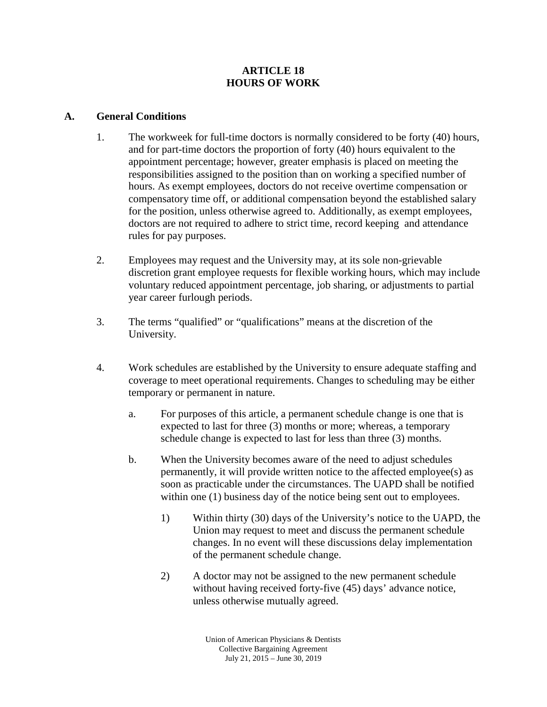## **ARTICLE 18 HOURS OF WORK**

## **A. General Conditions**

- 1. The workweek for full-time doctors is normally considered to be forty (40) hours, and for part-time doctors the proportion of forty (40) hours equivalent to the appointment percentage; however, greater emphasis is placed on meeting the responsibilities assigned to the position than on working a specified number of hours. As exempt employees, doctors do not receive overtime compensation or compensatory time off, or additional compensation beyond the established salary for the position, unless otherwise agreed to. Additionally, as exempt employees, doctors are not required to adhere to strict time, record keeping and attendance rules for pay purposes.
- 2. Employees may request and the University may, at its sole non-grievable discretion grant employee requests for flexible working hours, which may include voluntary reduced appointment percentage, job sharing, or adjustments to partial year career furlough periods.
- 3. The terms "qualified" or "qualifications" means at the discretion of the University.
- 4. Work schedules are established by the University to ensure adequate staffing and coverage to meet operational requirements. Changes to scheduling may be either temporary or permanent in nature.
	- a. For purposes of this article, a permanent schedule change is one that is expected to last for three (3) months or more; whereas, a temporary schedule change is expected to last for less than three (3) months.
	- b. When the University becomes aware of the need to adjust schedules permanently, it will provide written notice to the affected employee(s) as soon as practicable under the circumstances. The UAPD shall be notified within one (1) business day of the notice being sent out to employees.
		- 1) Within thirty (30) days of the University's notice to the UAPD, the Union may request to meet and discuss the permanent schedule changes. In no event will these discussions delay implementation of the permanent schedule change.
		- 2) A doctor may not be assigned to the new permanent schedule without having received forty-five (45) days' advance notice, unless otherwise mutually agreed.